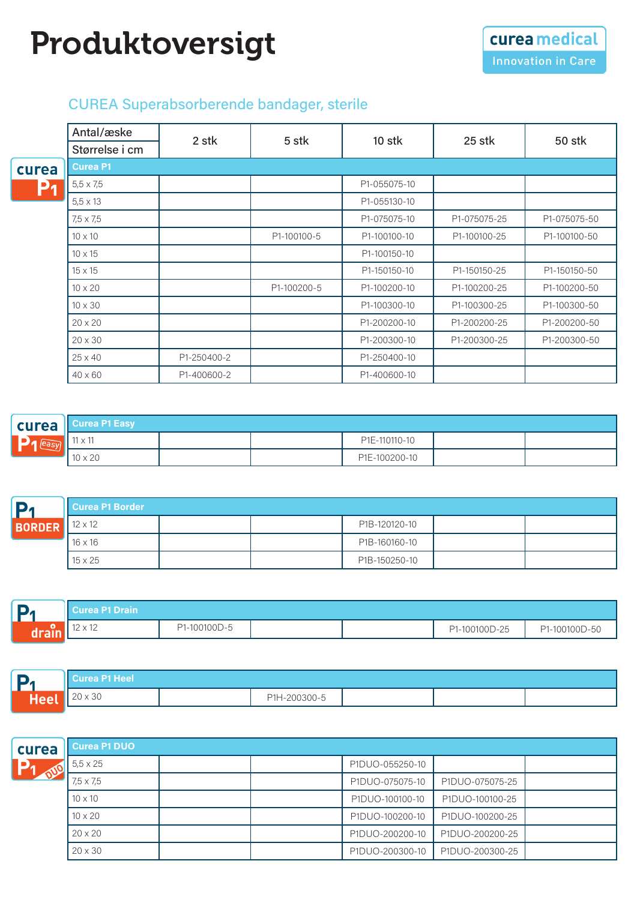## Produktoversigt

## CUREA Superabsorberende bandager, sterile

|       | Antal/æske       | 2 stk       |             |              |              |              |
|-------|------------------|-------------|-------------|--------------|--------------|--------------|
|       | Størrelse i cm   |             | 5 stk       | 10 stk       | 25 stk       | 50 stk       |
| curea | <b>Curea P1</b>  |             |             |              |              |              |
| P1    | $5,5 \times 7,5$ |             |             | P1-055075-10 |              |              |
|       | $5,5 \times 13$  |             |             | P1-055130-10 |              |              |
|       | 7,5 x 7,5        |             |             | P1-075075-10 | P1-075075-25 | P1-075075-50 |
|       | $10 \times 10$   |             | P1-100100-5 | P1-100100-10 | P1-100100-25 | P1-100100-50 |
|       | $10 \times 15$   |             |             | P1-100150-10 |              |              |
|       | $15 \times 15$   |             |             | P1-150150-10 | P1-150150-25 | P1-150150-50 |
|       | $10 \times 20$   |             | P1-100200-5 | P1-100200-10 | P1-100200-25 | P1-100200-50 |
|       | $10 \times 30$   |             |             | P1-100300-10 | P1-100300-25 | P1-100300-50 |
|       | $20 \times 20$   |             |             | P1-200200-10 | P1-200200-25 | P1-200200-50 |
|       | $20 \times 30$   |             |             | P1-200300-10 | P1-200300-25 | P1-200300-50 |
|       | $25 \times 40$   | P1-250400-2 |             | P1-250400-10 |              |              |
|       | $40 \times 60$   | P1-400600-2 |             | P1-400600-10 |              |              |

| <b>curea</b>   | <b>II Curea P1 Easy</b> |  |  |               |  |  |  |
|----------------|-------------------------|--|--|---------------|--|--|--|
| $\Box$ a leasy | $11 \times 11$          |  |  | P1E-110110-10 |  |  |  |
|                | $10 \times 20$          |  |  | P1E-100200-10 |  |  |  |

| D             | Curea P1 Border |  |  |               |  |  |  |  |  |
|---------------|-----------------|--|--|---------------|--|--|--|--|--|
| <b>BORDER</b> | $12 \times 12$  |  |  | P1B-120120-10 |  |  |  |  |  |
|               | $16 \times 16$  |  |  | P1B-160160-10 |  |  |  |  |  |
|               | $15 \times 25$  |  |  | P1B-150250-10 |  |  |  |  |  |

| . .<br>Ыл | ll Curea P1 Drain         |              |  |               |               |
|-----------|---------------------------|--------------|--|---------------|---------------|
| 1 сн.     | $10 \times 10$<br>12 X 12 | P1-100100D-5 |  | P1-100100D-25 | P1-100100D-50 |

|      | <b>Curea P1 Heel</b>                  |  |              |  |  |  |  |  |  |
|------|---------------------------------------|--|--------------|--|--|--|--|--|--|
| JEEN | $\sim 20$<br>$\sim$ $\sim$<br>ZU X 3U |  | P1H-200300-5 |  |  |  |  |  |  |

| curea                | <b>Curea P1 DUO</b> |  |  |                 |                 |  |  |  |  |  |
|----------------------|---------------------|--|--|-----------------|-----------------|--|--|--|--|--|
| <b>Agr</b><br>$\sim$ | $5.5 \times 25$     |  |  | P1DUO-055250-10 |                 |  |  |  |  |  |
|                      | $7.5 \times 7.5$    |  |  | P1DUO-075075-10 | P1DUO-075075-25 |  |  |  |  |  |
|                      | $10 \times 10$      |  |  | P1DUO-100100-10 | P1DUO-100100-25 |  |  |  |  |  |
|                      | $10 \times 20$      |  |  | P1DUO-100200-10 | P1DUO-100200-25 |  |  |  |  |  |
|                      | $20 \times 20$      |  |  | P1DUO-200200-10 | P1DUO-200200-25 |  |  |  |  |  |
|                      | $20 \times 30$      |  |  | P1DUO-200300-10 | P1DUO-200300-25 |  |  |  |  |  |